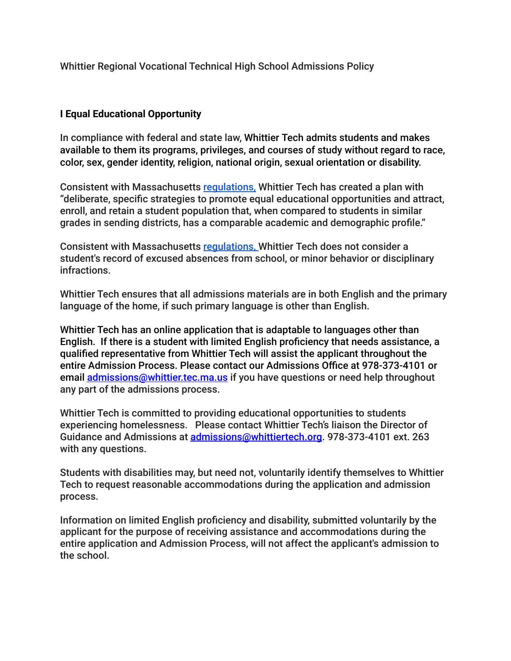Whittier Regional Vocational Technical High School Admissions Policy

## **I Equal Educational Opportunity**

In compliance with federal and state law, Whittier Tech admits students and makes available to them its programs, privileges, and courses of study without regard to race, color, sex, gender identity, religion, national origin, sexual orientation or disability.

Consistent with Massachusetts [regulations](https://www.doe.mass.edu/lawsregs/603cmr4.html?section=03,), Whittier Tech has created a plan with "deliberate, specific strategies to promote equal educational opportunities and attract, enroll, and retain a student population that, when compared to students in similar grades in sending districts, has a comparable academic and demographic profile."

Consistent with Massachusetts [regulations](https://www.doe.mass.edu/lawsregs/603cmr4.html?section=03,), Whittier Tech does not consider a student's record of excused absences from school, or minor behavior or disciplinary infractions.

Whittier Tech ensures that all admissions materials are in both English and the primary language of the home, if such primary language is other than English.

Whittier Tech has an online application that is adaptable to languages other than English. If there is a student with limited English proficiency that needs assistance, a qualified representative from Whittier Tech will assist the applicant throughout the entire Admission Process. Please contact our Admissions Office at 978-373-4101 or email [admissions@whittier.tec.ma.us](mailto:admissions@whittier.tec.ma.us) if you have questions or need help throughout any part of the admissions process.

Whittier Tech is committed to providing educational opportunities to students experiencing homelessness. Please contact Whittier Tech's liaison the Director of Guidance and Admissions at [admissions@whittiertech.org](mailto:admissions@whittiertech.org). 978-373-4101 ext. 263 with any questions.

Students with disabilities may, but need not, voluntarily identify themselves to Whittier Tech to request reasonable accommodations during the application and admission process.

Information on limited English proficiency and disability, submitted voluntarily by the applicant for the purpose of receiving assistance and accommodations during the entire application and Admission Process, will not affect the applicant's admission to the school.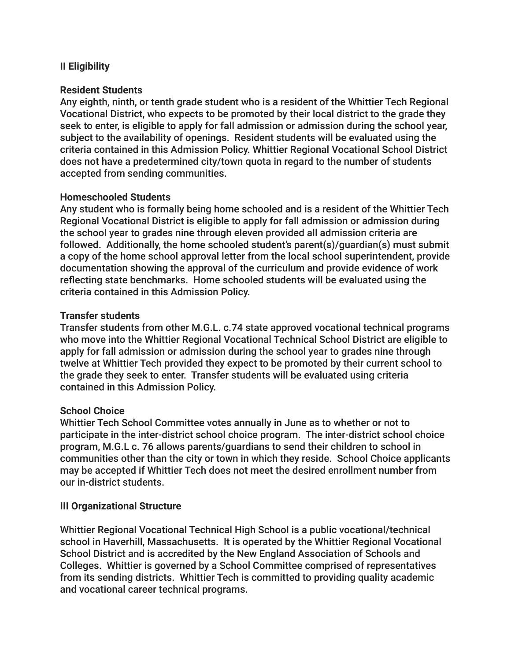## **II Eligibility**

### **Resident Students**

Any eighth, ninth, or tenth grade student who is a resident of the Whittier Tech Regional Vocational District, who expects to be promoted by their local district to the grade they seek to enter, is eligible to apply for fall admission or admission during the school year, subject to the availability of openings. Resident students will be evaluated using the criteria contained in this Admission Policy. Whittier Regional Vocational School District does not have a predetermined city/town quota in regard to the number of students accepted from sending communities.

#### **Homeschooled Students**

Any student who is formally being home schooled and is a resident of the Whittier Tech Regional Vocational District is eligible to apply for fall admission or admission during the school year to grades nine through eleven provided all admission criteria are followed. Additionally, the home schooled student's parent(s)/guardian(s) must submit a copy of the home school approval letter from the local school superintendent, provide documentation showing the approval of the curriculum and provide evidence of work reflecting state benchmarks. Home schooled students will be evaluated using the criteria contained in this Admission Policy.

## **Transfer students**

Transfer students from other M.G.L. c.74 state approved vocational technical programs who move into the Whittier Regional Vocational Technical School District are eligible to apply for fall admission or admission during the school year to grades nine through twelve at Whittier Tech provided they expect to be promoted by their current school to the grade they seek to enter. Transfer students will be evaluated using criteria contained in this Admission Policy.

#### **School Choice**

Whittier Tech School Committee votes annually in June as to whether or not to participate in the inter-district school choice program. The inter-district school choice program, M.G.L c. 76 allows parents/guardians to send their children to school in communities other than the city or town in which they reside. School Choice applicants may be accepted if Whittier Tech does not meet the desired enrollment number from our in-district students.

#### **III Organizational Structure**

Whittier Regional Vocational Technical High School is a public vocational/technical school in Haverhill, Massachusetts. It is operated by the Whittier Regional Vocational School District and is accredited by the New England Association of Schools and Colleges. Whittier is governed by a School Committee comprised of representatives from its sending districts. Whittier Tech is committed to providing quality academic and vocational career technical programs.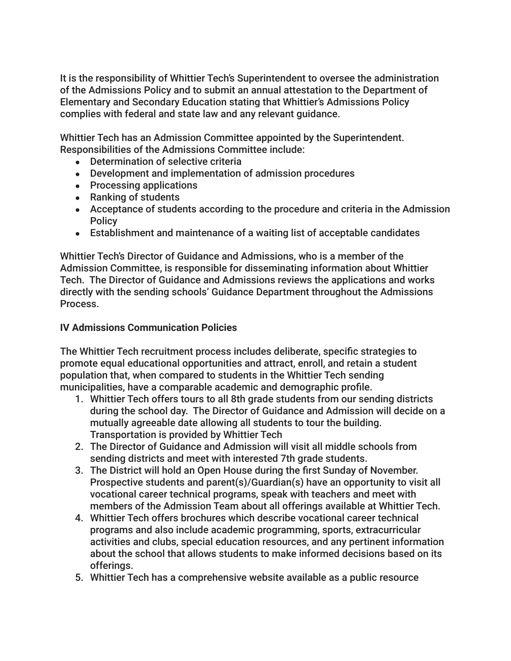It is the responsibility of Whittier Tech's Superintendent to oversee the administration of the Admissions Policy and to submit an annual attestation to the Department of Elementary and Secondary Education stating that Whittier's Admissions Policy complies with federal and state law and any relevant guidance.

Whittier Tech has an Admission Committee appointed by the Superintendent. Responsibilities of the Admissions Committee include:

- Determination of selective criteria
- Development and implementation of admission procedures
- Processing applications
- Ranking of students
- Acceptance of students according to the procedure and criteria in the Admission **Policy**
- Establishment and maintenance of a waiting list of acceptable candidates

Whittier Tech's Director of Guidance and Admissions, who is a member of the Admission Committee, is responsible for disseminating information about Whittier Tech. The Director of Guidance and Admissions reviews the applications and works directly with the sending schools' Guidance Department throughout the Admissions Process.

## **IV Admissions Communication Policies**

The Whittier Tech recruitment process includes deliberate, specific strategies to promote equal educational opportunities and attract, enroll, and retain a student population that, when compared to students in the Whittier Tech sending municipalities, have a comparable academic and demographic profile.

- 1. Whittier Tech offers tours to all 8th grade students from our sending districts during the school day. The Director of Guidance and Admission will decide on a mutually agreeable date allowing all students to tour the building. Transportation is provided by Whittier Tech
- 2. The Director of Guidance and Admission will visit all middle schools from sending districts and meet with interested 7th grade students.
- 3. The District will hold an Open House during the first Sunday of November. Prospective students and parent(s)/Guardian(s) have an opportunity to visit all vocational career technical programs, speak with teachers and meet with members of the Admission Team about all offerings available at Whittier Tech.
- 4. Whittier Tech offers brochures which describe vocational career technical programs and also include academic programming, sports, extracurricular activities and clubs, special education resources, and any pertinent information about the school that allows students to make informed decisions based on its offerings.
- 5. Whittier Tech has a comprehensive website available as a public resource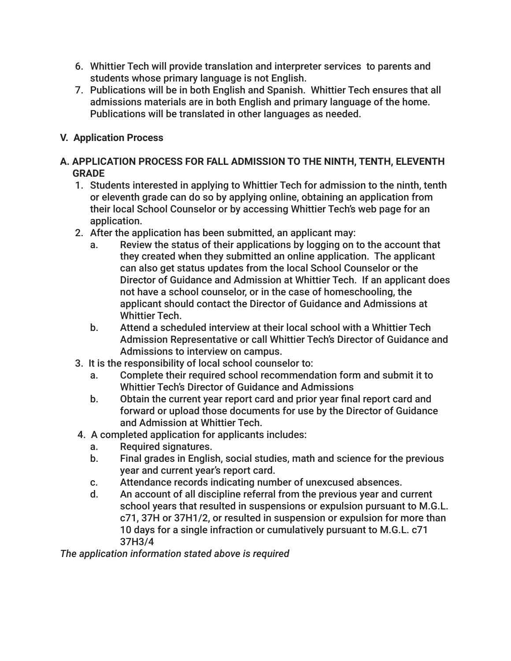- 6. Whittier Tech will provide translation and interpreter services to parents and students whose primary language is not English.
- 7. Publications will be in both English and Spanish. Whittier Tech ensures that all admissions materials are in both English and primary language of the home. Publications will be translated in other languages as needed.
- **V. Application Process**

# **A. APPLICATION PROCESS FOR FALL ADMISSION TO THE NINTH, TENTH, ELEVENTH GRADE**

- 1. Students interested in applying to Whittier Tech for admission to the ninth, tenth or eleventh grade can do so by applying online, obtaining an application from their local School Counselor or by accessing Whittier Tech's web page for an application.
- 2. After the application has been submitted, an applicant may:
	- a. Review the status of their applications by logging on to the account that they created when they submitted an online application. The applicant can also get status updates from the local School Counselor or the Director of Guidance and Admission at Whittier Tech. If an applicant does not have a school counselor, or in the case of homeschooling, the applicant should contact the Director of Guidance and Admissions at Whittier Tech.
	- b. Attend a scheduled interview at their local school with a Whittier Tech Admission Representative or call Whittier Tech's Director of Guidance and Admissions to interview on campus.
- 3. It is the responsibility of local school counselor to:
	- a. Complete their required school recommendation form and submit it to Whittier Tech's Director of Guidance and Admissions
	- b. Obtain the current year report card and prior year final report card and forward or upload those documents for use by the Director of Guidance and Admission at Whittier Tech.
- 4. A completed application for applicants includes:
	- a. Required signatures.
	- b. Final grades in English, social studies, math and science for the previous year and current year's report card.
	- c. Attendance records indicating number of unexcused absences.
	- d. An account of all discipline referral from the previous year and current school years that resulted in suspensions or expulsion pursuant to M.G.L. c71, 37H or 37H1/2, or resulted in suspension or expulsion for more than 10 days for a single infraction or cumulatively pursuant to M.G.L. c71 37H3/4

*The application information stated above is required*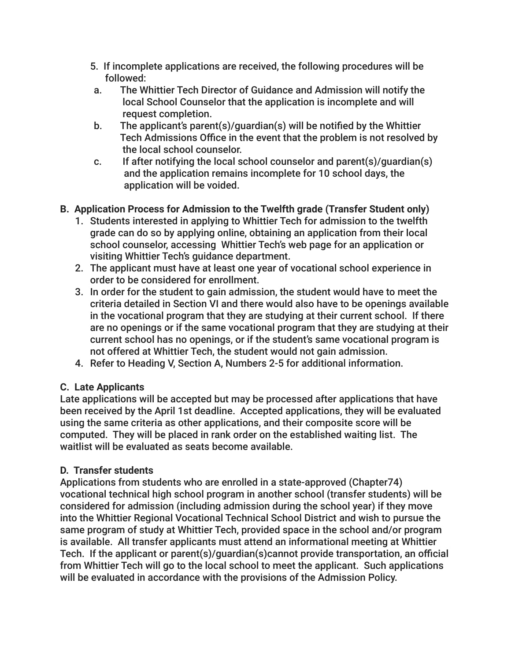- 5. If incomplete applications are received, the following procedures will be followed:
- a. The Whittier Tech Director of Guidance and Admission will notify the local School Counselor that the application is incomplete and will request completion.
- b. The applicant's parent(s)/guardian(s) will be notified by the Whittier Tech Admissions Office in the event that the problem is not resolved by the local school counselor.
- c. If after notifying the local school counselor and parent(s)/guardian(s) and the application remains incomplete for 10 school days, the application will be voided.

# **B. Application Process for Admission to the Twelfth grade (Transfer Student only)**

- 1. Students interested in applying to Whittier Tech for admission to the twelfth grade can do so by applying online, obtaining an application from their local school counselor, accessing Whittier Tech's web page for an application or visiting Whittier Tech's guidance department.
- 2. The applicant must have at least one year of vocational school experience in order to be considered for enrollment.
- 3. In order for the student to gain admission, the student would have to meet the criteria detailed in Section VI and there would also have to be openings available in the vocational program that they are studying at their current school. If there are no openings or if the same vocational program that they are studying at their current school has no openings, or if the student's same vocational program is not offered at Whittier Tech, the student would not gain admission.
- 4. Refer to Heading V, Section A, Numbers 2-5 for additional information.

# **C. Late Applicants**

Late applications will be accepted but may be processed after applications that have been received by the April 1st deadline. Accepted applications, they will be evaluated using the same criteria as other applications, and their composite score will be computed. They will be placed in rank order on the established waiting list. The waitlist will be evaluated as seats become available.

# **D. Transfer students**

Applications from students who are enrolled in a state-approved (Chapter74) vocational technical high school program in another school (transfer students) will be considered for admission (including admission during the school year) if they move into the Whittier Regional Vocational Technical School District and wish to pursue the same program of study at Whittier Tech, provided space in the school and/or program is available. All transfer applicants must attend an informational meeting at Whittier Tech. If the applicant or parent(s)/guardian(s)cannot provide transportation, an official from Whittier Tech will go to the local school to meet the applicant. Such applications will be evaluated in accordance with the provisions of the Admission Policy.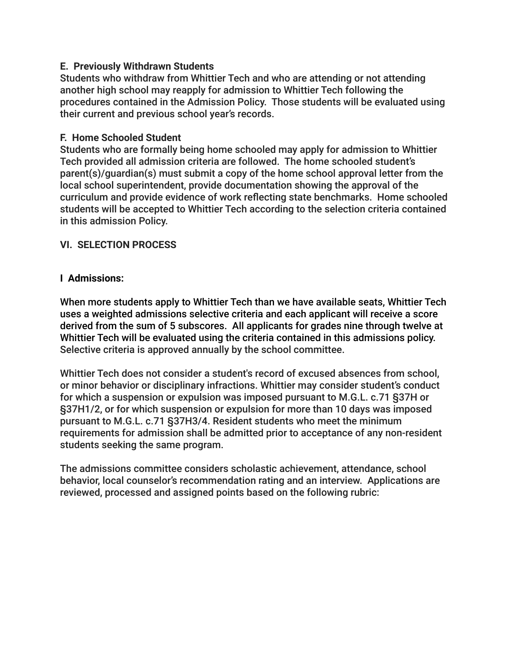### **E. Previously Withdrawn Students**

Students who withdraw from Whittier Tech and who are attending or not attending another high school may reapply for admission to Whittier Tech following the procedures contained in the Admission Policy. Those students will be evaluated using their current and previous school year's records.

## **F. Home Schooled Student**

Students who are formally being home schooled may apply for admission to Whittier Tech provided all admission criteria are followed. The home schooled student's parent(s)/guardian(s) must submit a copy of the home school approval letter from the local school superintendent, provide documentation showing the approval of the curriculum and provide evidence of work reflecting state benchmarks. Home schooled students will be accepted to Whittier Tech according to the selection criteria contained in this admission Policy.

## **VI. SELECTION PROCESS**

## **I Admissions:**

When more students apply to Whittier Tech than we have available seats, Whittier Tech uses a weighted admissions selective criteria and each applicant will receive a score derived from the sum of 5 subscores. All applicants for grades nine through twelve at Whittier Tech will be evaluated using the criteria contained in this admissions policy. Selective criteria is approved annually by the school committee.

Whittier Tech does not consider a student's record of excused absences from school, or minor behavior or disciplinary infractions. Whittier may consider student's conduct for which a suspension or expulsion was imposed pursuant to M.G.L. c.71 §37H or §37H1/2, or for which suspension or expulsion for more than 10 days was imposed pursuant to M.G.L. c.71 §37H3/4. Resident students who meet the minimum requirements for admission shall be admitted prior to acceptance of any non-resident students seeking the same program.

The admissions committee considers scholastic achievement, attendance, school behavior, local counselor's recommendation rating and an interview. Applications are reviewed, processed and assigned points based on the following rubric: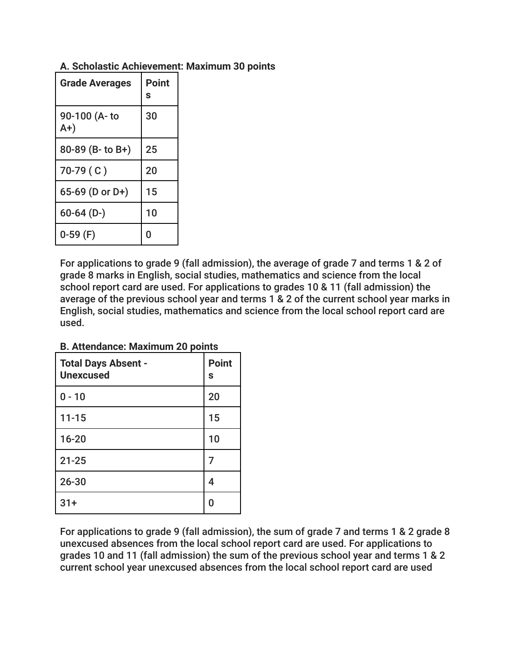| <b>Grade Averages</b> | <b>Point</b><br>S |
|-----------------------|-------------------|
| 90-100 (A-to<br>$A+$  | 30                |
| 80-89 (B- to B+)      | 25                |
| $70-79(C)$            | 20                |
| 65-69 (D or D+)       | 15                |
| $60-64$ (D-)          | 10                |
| $0-59(F)$             | 0                 |

**A. Scholastic Achievement: Maximum 30 points** 

For applications to grade 9 (fall admission), the average of grade 7 and terms 1 & 2 of grade 8 marks in English, social studies, mathematics and science from the local school report card are used. For applications to grades 10 & 11 (fall admission) the average of the previous school year and terms 1 & 2 of the current school year marks in English, social studies, mathematics and science from the local school report card are used.

**B. Attendance: Maximum 20 points** 

| <b>Total Days Absent -</b><br><b>Unexcused</b> | <b>Point</b><br>S |
|------------------------------------------------|-------------------|
| $0 - 10$                                       | 20                |
| $11 - 15$                                      | 15                |
| $16 - 20$                                      | 10                |
| 21-25                                          | 7                 |
| $26 - 30$                                      | 4                 |
| $31+$                                          | U                 |

For applications to grade 9 (fall admission), the sum of grade 7 and terms 1 & 2 grade 8 unexcused absences from the local school report card are used. For applications to grades 10 and 11 (fall admission) the sum of the previous school year and terms 1 & 2 current school year unexcused absences from the local school report card are used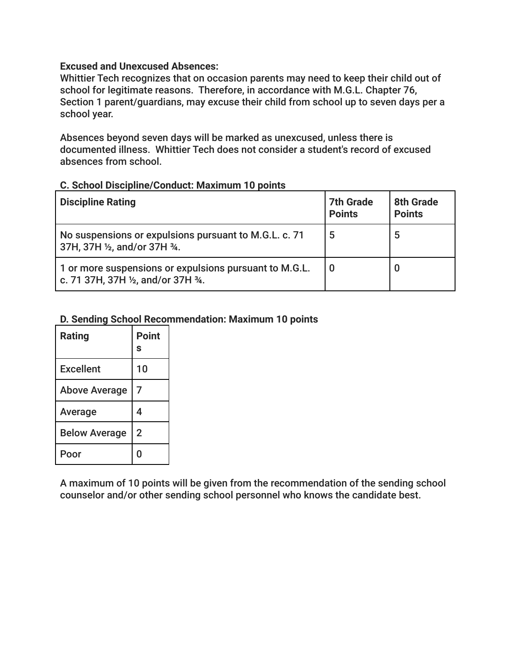#### **Excused and Unexcused Absences:**

Whittier Tech recognizes that on occasion parents may need to keep their child out of school for legitimate reasons. Therefore, in accordance with M.G.L. Chapter 76, Section 1 parent/guardians, may excuse their child from school up to seven days per a school year.

Absences beyond seven days will be marked as unexcused, unless there is documented illness. Whittier Tech does not consider a student's record of excused absences from school.

#### **C. School Discipline/Conduct: Maximum 10 points**

| <b>Discipline Rating</b>                                                                      | <b>7th Grade</b><br><b>Points</b> | <b>8th Grade</b><br><b>Points</b> |
|-----------------------------------------------------------------------------------------------|-----------------------------------|-----------------------------------|
| No suspensions or expulsions pursuant to M.G.L. c. 71<br>37H, 37H 1/2, and/or 37H 3/4.        | 5                                 | 5                                 |
| 1 or more suspensions or expulsions pursuant to M.G.L.<br>c. 71 37H, 37H 1/2, and/or 37H 3/4. |                                   |                                   |

## **D. Sending School Recommendation: Maximum 10 points**

| <b>Rating</b>        | <b>Point</b><br>S |
|----------------------|-------------------|
| <b>Excellent</b>     | 10                |
| <b>Above Average</b> | 7                 |
| Average              | 4                 |
| <b>Below Average</b> | $\overline{2}$    |
|                      |                   |

A maximum of 10 points will be given from the recommendation of the sending school counselor and/or other sending school personnel who knows the candidate best.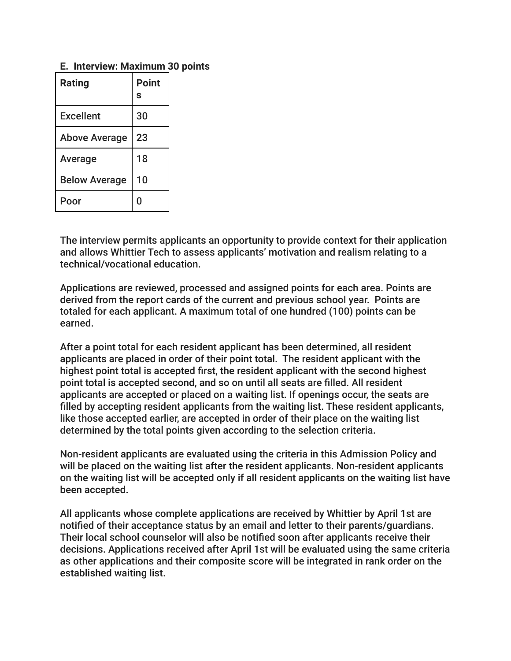#### **E. Interview: Maximum 30 points**

| Rating               | <b>Point</b><br>S |
|----------------------|-------------------|
| <b>Excellent</b>     | 30                |
| <b>Above Average</b> | 23                |
| Average              | 18                |
| <b>Below Average</b> | 10                |
| Р,                   | Ω                 |

The interview permits applicants an opportunity to provide context for their application and allows Whittier Tech to assess applicants' motivation and realism relating to a technical/vocational education.

Applications are reviewed, processed and assigned points for each area. Points are derived from the report cards of the current and previous school year. Points are totaled for each applicant. A maximum total of one hundred (100) points can be earned.

After a point total for each resident applicant has been determined, all resident applicants are placed in order of their point total. The resident applicant with the highest point total is accepted first, the resident applicant with the second highest point total is accepted second, and so on until all seats are filled. All resident applicants are accepted or placed on a waiting list. If openings occur, the seats are filled by accepting resident applicants from the waiting list. These resident applicants, like those accepted earlier, are accepted in order of their place on the waiting list determined by the total points given according to the selection criteria.

Non-resident applicants are evaluated using the criteria in this Admission Policy and will be placed on the waiting list after the resident applicants. Non-resident applicants on the waiting list will be accepted only if all resident applicants on the waiting list have been accepted.

All applicants whose complete applications are received by Whittier by April 1st are notified of their acceptance status by an email and letter to their parents/guardians. Their local school counselor will also be notified soon after applicants receive their decisions. Applications received after April 1st will be evaluated using the same criteria as other applications and their composite score will be integrated in rank order on the established waiting list.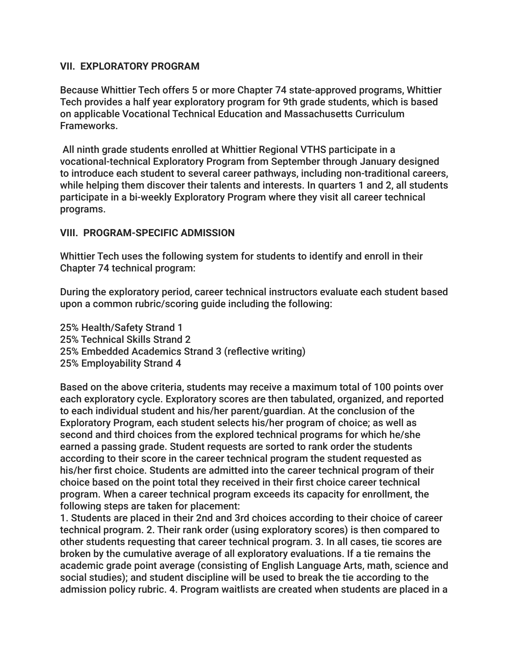#### **VII. EXPLORATORY PROGRAM**

Because Whittier Tech offers 5 or more Chapter 74 state-approved programs, Whittier Tech provides a half year exploratory program for 9th grade students, which is based on applicable Vocational Technical Education and Massachusetts Curriculum Frameworks.

 All ninth grade students enrolled at Whittier Regional VTHS participate in a vocational-technical Exploratory Program from September through January designed to introduce each student to several career pathways, including non-traditional careers, while helping them discover their talents and interests. In quarters 1 and 2, all students participate in a bi-weekly Exploratory Program where they visit all career technical programs.

#### **VIII. PROGRAM-SPECIFIC ADMISSION**

Whittier Tech uses the following system for students to identify and enroll in their Chapter 74 technical program:

During the exploratory period, career technical instructors evaluate each student based upon a common rubric/scoring guide including the following:

25% Health/Safety Strand 1 25% Technical Skills Strand 2 25% Embedded Academics Strand 3 (reflective writing) 25% Employability Strand 4

Based on the above criteria, students may receive a maximum total of 100 points over each exploratory cycle. Exploratory scores are then tabulated, organized, and reported to each individual student and his/her parent/guardian. At the conclusion of the Exploratory Program, each student selects his/her program of choice; as well as second and third choices from the explored technical programs for which he/she earned a passing grade. Student requests are sorted to rank order the students according to their score in the career technical program the student requested as his/her first choice. Students are admitted into the career technical program of their choice based on the point total they received in their first choice career technical program. When a career technical program exceeds its capacity for enrollment, the following steps are taken for placement:

1. Students are placed in their 2nd and 3rd choices according to their choice of career technical program. 2. Their rank order (using exploratory scores) is then compared to other students requesting that career technical program. 3. In all cases, tie scores are broken by the cumulative average of all exploratory evaluations. If a tie remains the academic grade point average (consisting of English Language Arts, math, science and social studies); and student discipline will be used to break the tie according to the admission policy rubric. 4. Program waitlists are created when students are placed in a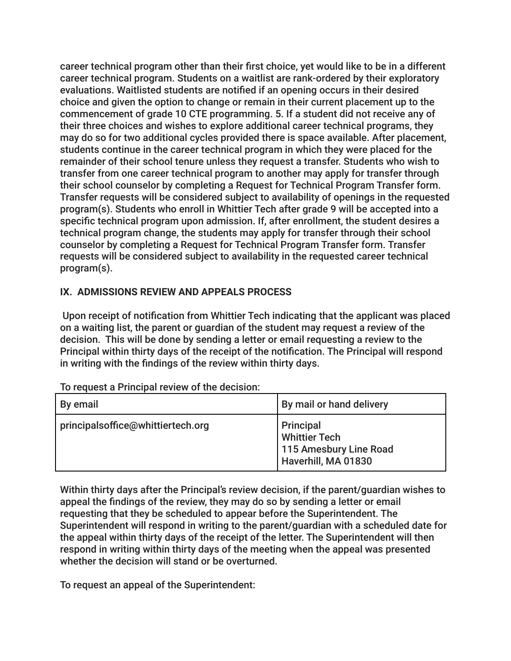career technical program other than their first choice, yet would like to be in a different career technical program. Students on a waitlist are rank-ordered by their exploratory evaluations. Waitlisted students are notified if an opening occurs in their desired choice and given the option to change or remain in their current placement up to the commencement of grade 10 CTE programming. 5. If a student did not receive any of their three choices and wishes to explore additional career technical programs, they may do so for two additional cycles provided there is space available. After placement, students continue in the career technical program in which they were placed for the remainder of their school tenure unless they request a transfer. Students who wish to transfer from one career technical program to another may apply for transfer through their school counselor by completing a Request for Technical Program Transfer form. Transfer requests will be considered subject to availability of openings in the requested program(s). Students who enroll in Whittier Tech after grade 9 will be accepted into a specific technical program upon admission. If, after enrollment, the student desires a technical program change, the students may apply for transfer through their school counselor by completing a Request for Technical Program Transfer form. Transfer requests will be considered subject to availability in the requested career technical program(s).

## **IX. ADMISSIONS REVIEW AND APPEALS PROCESS**

Upon receipt of notification from Whittier Tech indicating that the applicant was placed on a waiting list, the parent or guardian of the student may request a review of the decision. This will be done by sending a letter or email requesting a review to the Principal within thirty days of the receipt of the notification. The Principal will respond in writing with the findings of the review within thirty days.

| By email                          | By mail or hand delivery                                                                  |
|-----------------------------------|-------------------------------------------------------------------------------------------|
| principalsoffice@whittiertech.org | <b>Principal</b><br><b>Whittier Tech</b><br>115 Amesbury Line Road<br>Haverhill, MA 01830 |

To request a Principal review of the decision:

Within thirty days after the Principal's review decision, if the parent/guardian wishes to appeal the findings of the review, they may do so by sending a letter or email requesting that they be scheduled to appear before the Superintendent. The Superintendent will respond in writing to the parent/guardian with a scheduled date for the appeal within thirty days of the receipt of the letter. The Superintendent will then respond in writing within thirty days of the meeting when the appeal was presented whether the decision will stand or be overturned.

To request an appeal of the Superintendent: